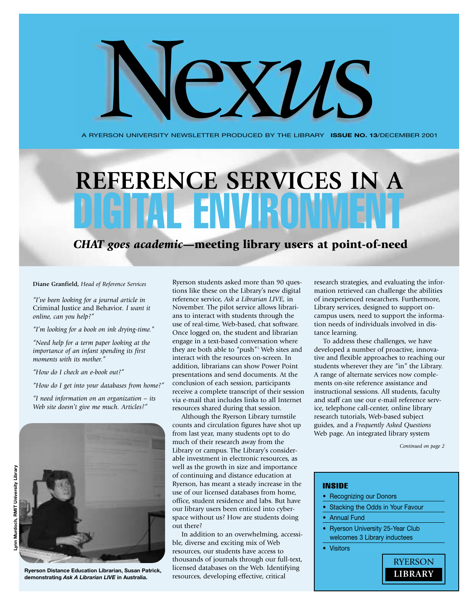A RYERSON UNIVERSITY NEWSLETTER PRODUCED BY THE LIBRARY **ISSUE NO. 13**/DECEMBER 2001

Nex*u*s

# **REFERENCE SERVICES IN A** AT FNVIRO

*CHAT goes academic***—meeting library users at point-of-need**

**Diane Granfield,** *Head of Reference Services*

*"I've been looking for a journal article in* Criminal Justice and Behavior*. I want it online, can you help?"*

*"I'm looking for a book on ink drying-time."*

*"Need help for a term paper looking at the importance of an infant spending its first moments with its mother."*

*"How do I check an e-book out?"*

*"How do I get into your databases from home?"*

*"I need information on an organization – its Web site doesn't give me much. Articles?"*



**Ryerson Distance Education Librarian, Susan Patrick, demonstrating** *Ask A Librarian LIVE* **in Australia.**

Ryerson students asked more than 90 questions like these on the Library's new digital reference service, *Ask a Librarian LIVE,* in November. The pilot service allows librarians to interact with students through the use of real-time, Web-based, chat software. Once logged on, the student and librarian engage in a text-based conversation where they are both able to "push"1 Web sites and interact with the resources on-screen. In addition, librarians can show Power Point presentations and send documents. At the conclusion of each session, participants receive a complete transcript of their session via e-mail that includes links to all Internet resources shared during that session.

Although the Ryerson Library turnstile counts and circulation figures have shot up from last year, many students opt to do much of their research away from the Library or campus. The Library's considerable investment in electronic resources, as well as the growth in size and importance of continuing and distance education at Ryerson, has meant a steady increase in the use of our licensed databases from home, office, student residence and labs. But have our library users been enticed into cyberspace without us? How are students doing out there?

In addition to an overwhelming, accessible, diverse and exciting mix of Web resources, our students have access to thousands of journals through our full-text, licensed databases on the Web. Identifying resources, developing effective, critical

research strategies, and evaluating the information retrieved can challenge the abilities of inexperienced researchers. Furthermore, Library services, designed to support oncampus users, need to support the information needs of individuals involved in distance learning.

To address these challenges, we have developed a number of proactive, innovative and flexible approaches to reaching our students wherever they are "in" the Library. A range of alternate services now complements on-site reference assistance and instructional sessions. All students, faculty and staff can use our e-mail reference service, telephone call-center, online library research tutorials, Web-based subject guides, and a *Frequently Asked Questions* Web page. An integrated library system

*Continued on page 2*

#### INSIDE

- Recognizing our Donors
- Stacking the Odds in Your Favour
- **Annual Fund**
- Ryerson University 25-Year Club welcomes 3 Library inductees
- **Visitors**

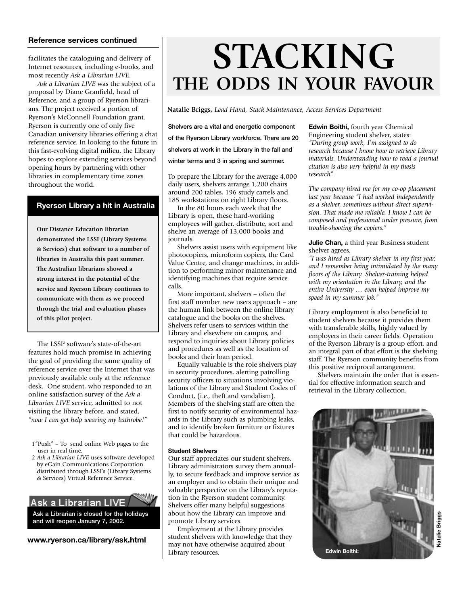## **Reference services continued**

facilitates the cataloguing and delivery of Internet resources, including e-books, and most recently *Ask a Librarian LIVE.*

*Ask a Librarian LIVE* was the subject of a proposal by Diane Granfield, head of Reference, and a group of Ryerson librarians. The project received a portion of Ryerson's McConnell Foundation grant. Ryerson is currently one of only five Canadian university libraries offering a chat reference service. In looking to the future in this fast-evolving digital milieu, the Library hopes to explore extending services beyond opening hours by partnering with other libraries in complementary time zones throughout the world.

## **Ryerson Library a hit in Australia**

**Our Distance Education librarian demonstrated the LSSI (Library Systems & Services) chat software to a number of libraries in Australia this past summer. The Australian librarians showed a strong interest in the potential of the service and Ryerson Library continues to communicate with them as we proceed through the trial and evaluation phases of this pilot project.**

The LSSI<sup>2</sup> software's state-of-the-art features hold much promise in achieving the goal of providing the same quality of reference service over the Internet that was previously available only at the reference desk. One student, who responded to an online satisfaction survey of the *Ask a Librarian LIVE* service, admitted to not visiting the library before, and stated, *"now I can get help wearing my bathrobe!"*

- 1"Push" To send online Web pages to the user in real time.
- 2 *Ask a Librarian LIVE* uses software developed by eGain Communications Corporation distributed through LSSI's (Library Systems & Services) Virtual Reference Service.

Ask a Librarian LIVE **Ask a Librarian is closed for the holidays and will reopen January 7, 2002.**

**www.ryerson.ca/library/ask.html**

# **STACKING THE ODDS IN YOUR FAVOUR**

**Natalie Briggs,** *Lead Hand, Stack Maintenance, Access Services Department*

**Shelvers are a vital and energetic component of the Ryerson Library workforce. There are 20 shelvers at work in the Library in the fall and**

**winter terms and 3 in spring and summer.**

To prepare the Library for the average 4,000 daily users, shelvers arrange 1,200 chairs around 200 tables, 196 study carrels and 185 workstations on eight Library floors.

In the 80 hours each week that the Library is open, these hard-working employees will gather, distribute, sort and shelve an average of 13,000 books and journals.

Shelvers assist users with equipment like photocopiers, microform copiers, the Card Value Centre, and change machines, in addition to performing minor maintenance and identifying machines that require service calls.

More important, shelvers – often the first staff member new users approach – are the human link between the online library catalogue and the books on the shelves. Shelvers refer users to services within the Library and elsewhere on campus, and respond to inquiries about Library policies and procedures as well as the location of books and their loan period.

Equally valuable is the role shelvers play in security procedures, alerting patrolling security officers to situations involving violations of the Library and Student Codes of Conduct, (i.e., theft and vandalism). Members of the shelving staff are often the first to notify security of environmental hazards in the Library such as plumbing leaks, and to identify broken furniture or fixtures that could be hazardous.

### **Student Shelvers**

Our staff appreciates our student shelvers. Library administrators survey them annually, to secure feedback and improve service as an employer and to obtain their unique and valuable perspective on the Library's reputation in the Ryerson student community. Shelvers offer many helpful suggestions about how the Library can improve and promote Library services.

Employment at the Library provides student shelvers with knowledge that they may not have otherwise acquired about Library resources.

**Edwin Boithi,** fourth year Chemical Engineering student shelver, states: *"During group work, I'm assigned to do research because I know how to retrieve Library materials. Understanding how to read a journal citation is also very helpful in my thesis research".* 

*The company hired me for my co-op placement last year because "I had worked independently as a shelver, sometimes without direct supervision. That made me reliable. I know I can be composed and professional under pressure, from trouble-shooting the copiers."*

### **Julie Chan,** a third year Business student shelver agrees.

*"I was hired as Library shelver in my first year, and I remember being intimidated by the many floors of the Library. Shelver-training helped with my orientation in the Library, and the entire University … even helped improve my speed in my summer job."*

Library employment is also beneficial to student shelvers because it provides them with transferable skills, highly valued by employers in their career fields. Operation of the Ryerson Library is a group effort, and an integral part of that effort is the shelving staff. The Ryerson community benefits from this positive reciprocal arrangement.

Shelvers maintain the order that is essential for effective information search and retrieval in the Library collection.

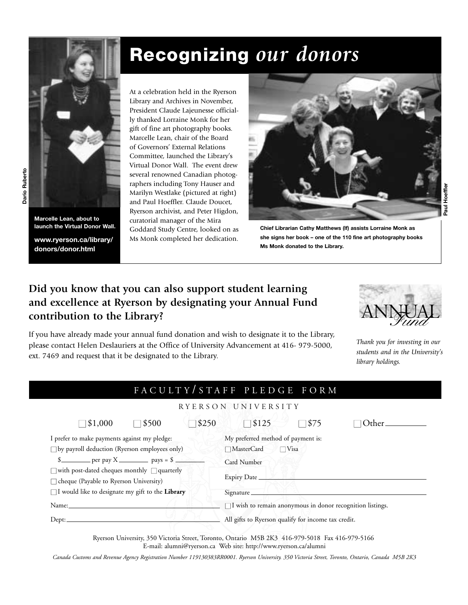

**Marcelle Lean, about to launch the Virtual Donor Wall.**

**www.ryerson.ca/library/ donors/donor.html**

At a celebration held in the Ryerson Library and Archives in November, President Claude Lajeunesse officially thanked Lorraine Monk for her gift of fine art photography books. Marcelle Lean, chair of the Board of Governors' External Relations Committee, launched the Library's Virtual Donor Wall. The event drew several renowned Canadian photographers including Tony Hauser and Marilyn Westlake (pictured at right) and Paul Hoeffler. Claude Doucet, Ryerson archivist, and Peter Higdon, curatorial manager of the Mira

**Recognizing** *our donors*

Goddard Study Centre, looked on as Ms Monk completed her dedication.



**Chief Librarian Cathy Matthews (lf) assists Lorraine Monk as she signs her book – one of the 110 fine art photography books Ms Monk donated to the Library.**

## **Did you know that you can also support student learning and excellence at Ryerson by designating your Annual Fund contribution to the Library?**

If you have already made your annual fund donation and wish to designate it to the Library, please contact Helen Deslauriers at the Office of University Advancement at 416- 979-5000, ext. 7469 and request that it be designated to the Library.



*Thank you for investing in our students and in the University's library holdings.*

## FACULTY / STAFF PLEDGE FORM

## RYERSON UNIVERSITY

|                                                         | $\Box$ \$1,000 | $\Box$ \$500 | \$250                                                            | $\Box$ \$125                       |  | $\square$ \$75 | )ther_ |  |
|---------------------------------------------------------|----------------|--------------|------------------------------------------------------------------|------------------------------------|--|----------------|--------|--|
| I prefer to make payments against my pledge:            |                |              |                                                                  | My preferred method of payment is: |  |                |        |  |
| $\square$ by payroll deduction (Ryerson employees only) |                |              |                                                                  | $\Box$ MasterCard<br>$\Box$ Visa   |  |                |        |  |
|                                                         |                |              |                                                                  | Card Number                        |  |                |        |  |
| $\Box$ with post-dated cheques monthly $\Box$ quarterly |                |              |                                                                  | Expiry Date_                       |  |                |        |  |
| $\Box$ cheque (Payable to Ryerson University)           |                |              |                                                                  |                                    |  |                |        |  |
| $\Box$ I would like to designate my gift to the Library |                |              | Signature_                                                       |                                    |  |                |        |  |
| Name:_                                                  |                |              | $\Box$ I wish to remain anonymous in donor recognition listings. |                                    |  |                |        |  |
| Dep:                                                    |                |              | All gifts to Ryerson qualify for income tax credit.              |                                    |  |                |        |  |
|                                                         |                |              |                                                                  |                                    |  |                |        |  |

Ryerson University, 350 Victoria Street, Toronto, Ontario M5B 2K3 416-979-5018 Fax 416-979-5166 E-mail: alumni@ryerson.ca Web site: http://www.ryerson.ca/alumni

*Canada Customs and Revenue Agency Registration Number 119130383RR0001. Ryerson University. 350 Victoria Street, Toronto, Ontario, Canada M5B 2K3*